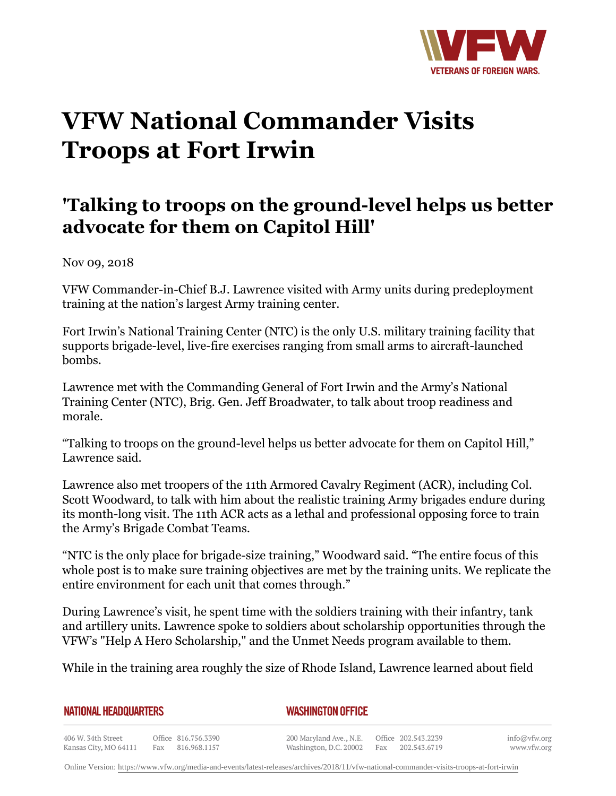

## **VFW National Commander Visits Troops at Fort Irwin**

## **'Talking to troops on the ground-level helps us better advocate for them on Capitol Hill'**

Nov 09, 2018

VFW Commander-in-Chief B.J. Lawrence visited with Army units during predeployment training at the nation's largest Army training center.

Fort Irwin's National Training Center (NTC) is the only U.S. military training facility that supports brigade-level, live-fire exercises ranging from small arms to aircraft-launched bombs.

Lawrence met with the Commanding General of Fort Irwin and the Army's National Training Center (NTC), Brig. Gen. Jeff Broadwater, to talk about troop readiness and morale.

"Talking to troops on the ground-level helps us better advocate for them on Capitol Hill," Lawrence said.

Lawrence also met troopers of the 11th Armored Cavalry Regiment (ACR), including Col. Scott Woodward, to talk with him about the realistic training Army brigades endure during its month-long visit. The 11th ACR acts as a lethal and professional opposing force to train the Army's Brigade Combat Teams.

"NTC is the only place for brigade-size training," Woodward said. "The entire focus of this whole post is to make sure training objectives are met by the training units. We replicate the entire environment for each unit that comes through."

During Lawrence's visit, he spent time with the soldiers training with their infantry, tank and artillery units. Lawrence spoke to soldiers about scholarship opportunities through the VFW's "Help A Hero Scholarship," and the Unmet Needs program available to them.

While in the training area roughly the size of Rhode Island, Lawrence learned about field

| <b>NATIONAL HEADQUARTERS</b> |
|------------------------------|
|------------------------------|

*WASHINGTON OFFICE* 

406 W. 34th Street Office 816.756.3390 Kansas City, MO 64111 Fax 816.968.1157

200 Maryland Ave., N.E. Washington, D.C. 20002

Office 202.543.2239 Fax 202.543.6719 info@vfw.org www.vfw.org